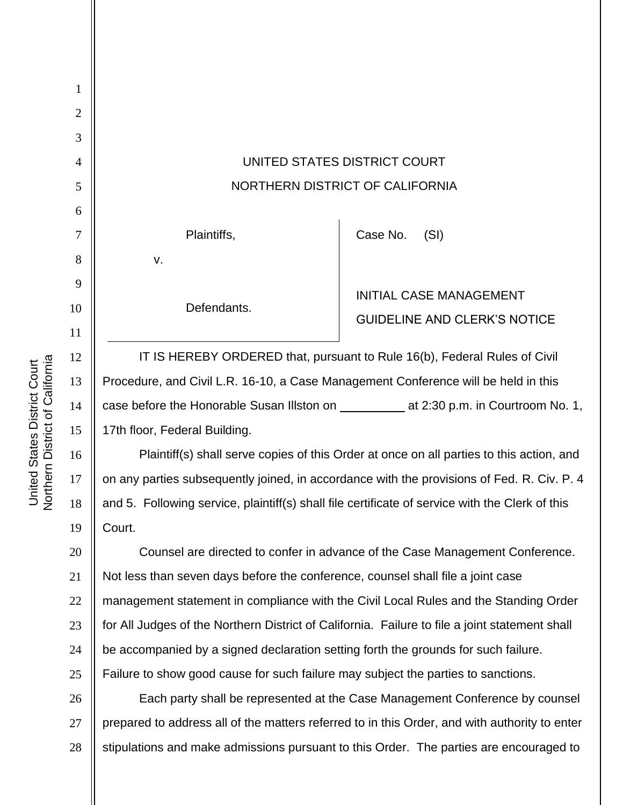| 1  |                                                                                                 |                                     |
|----|-------------------------------------------------------------------------------------------------|-------------------------------------|
| 2  |                                                                                                 |                                     |
| 3  |                                                                                                 |                                     |
| 4  | UNITED STATES DISTRICT COURT                                                                    |                                     |
| 5  | NORTHERN DISTRICT OF CALIFORNIA                                                                 |                                     |
| 6  |                                                                                                 |                                     |
| 7  | Plaintiffs,                                                                                     | Case No.<br>(SI)                    |
| 8  | V.                                                                                              |                                     |
| 9  |                                                                                                 | <b>INITIAL CASE MANAGEMENT</b>      |
| 10 | Defendants.                                                                                     | <b>GUIDELINE AND CLERK'S NOTICE</b> |
| 11 |                                                                                                 |                                     |
| 12 | IT IS HEREBY ORDERED that, pursuant to Rule 16(b), Federal Rules of Civil                       |                                     |
| 13 | Procedure, and Civil L.R. 16-10, a Case Management Conference will be held in this              |                                     |
| 14 |                                                                                                 |                                     |
| 15 | 17th floor, Federal Building.                                                                   |                                     |
| 16 | Plaintiff(s) shall serve copies of this Order at once on all parties to this action, and        |                                     |
| 17 | on any parties subsequently joined, in accordance with the provisions of Fed. R. Civ. P. 4      |                                     |
| 18 | and 5. Following service, plaintiff(s) shall file certificate of service with the Clerk of this |                                     |
| 19 | Court.                                                                                          |                                     |
| 20 | Counsel are directed to confer in advance of the Case Management Conference.                    |                                     |
| 21 | Not less than seven days before the conference, counsel shall file a joint case                 |                                     |
| 22 | management statement in compliance with the Civil Local Rules and the Standing Order            |                                     |
| 23 | for All Judges of the Northern District of California. Failure to file a joint statement shall  |                                     |
| 24 | be accompanied by a signed declaration setting forth the grounds for such failure.              |                                     |
| 25 | Failure to show good cause for such failure may subject the parties to sanctions.               |                                     |
| 26 | Each party shall be represented at the Case Management Conference by counsel                    |                                     |
| 27 | prepared to address all of the matters referred to in this Order, and with authority to enter   |                                     |
| 28 | stipulations and make admissions pursuant to this Order. The parties are encouraged to          |                                     |

United States District Court<br>Northern District of California Northern District of California United States District Court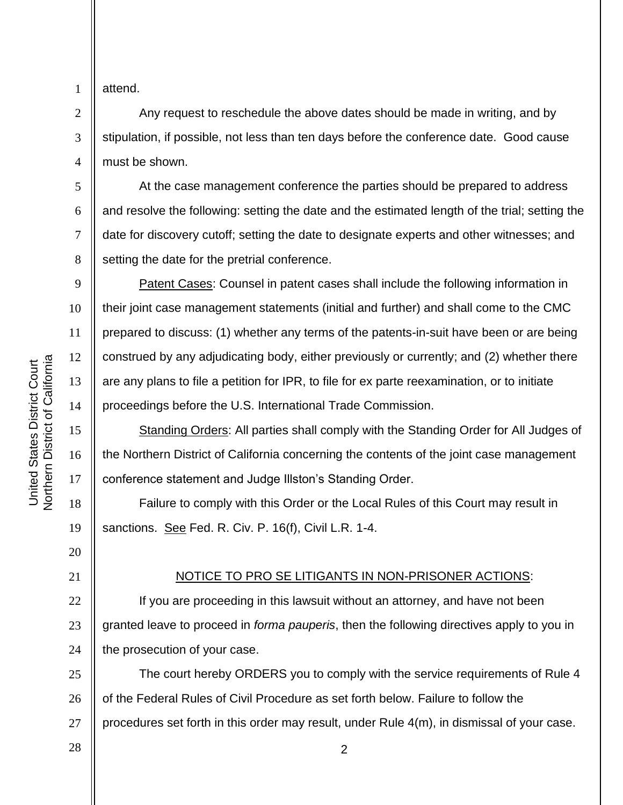1 2

3

4

5

6

7

8

9

10

11

12

13

14

15

16

17

18

attend.

Any request to reschedule the above dates should be made in writing, and by stipulation, if possible, not less than ten days before the conference date. Good cause must be shown.

At the case management conference the parties should be prepared to address and resolve the following: setting the date and the estimated length of the trial; setting the date for discovery cutoff; setting the date to designate experts and other witnesses; and setting the date for the pretrial conference.

Patent Cases: Counsel in patent cases shall include the following information in their joint case management statements (initial and further) and shall come to the CMC prepared to discuss: (1) whether any terms of the patents-in-suit have been or are being construed by any adjudicating body, either previously or currently; and (2) whether there are any plans to file a petition for IPR, to file for ex parte reexamination, or to initiate proceedings before the U.S. International Trade Commission.

Standing Orders: All parties shall comply with the Standing Order for All Judges of the Northern District of California concerning the contents of the joint case management conference statement and Judge Illston's Standing Order.

Failure to comply with this Order or the Local Rules of this Court may result in sanctions. See Fed. R. Civ. P. 16(f), Civil L.R. 1-4.

## 20

21

28

19

## NOTICE TO PRO SE LITIGANTS IN NON-PRISONER ACTIONS:

22 23 24 If you are proceeding in this lawsuit without an attorney, and have not been granted leave to proceed in *forma pauperis*, then the following directives apply to you in the prosecution of your case.

25 26 27 The court hereby ORDERS you to comply with the service requirements of Rule 4 of the Federal Rules of Civil Procedure as set forth below. Failure to follow the procedures set forth in this order may result, under Rule 4(m), in dismissal of your case.

2

**Northern District of California** Northern District of California United States District Court United States District Court